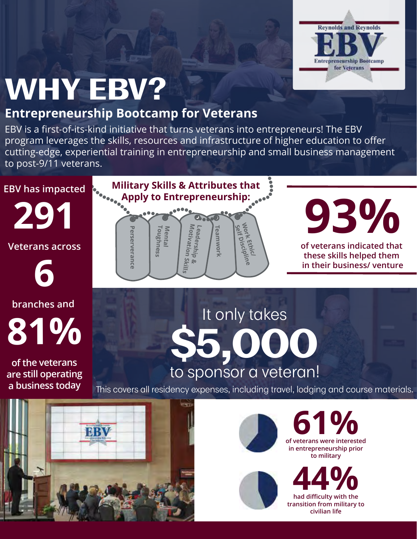

### **WHY EBV?**

#### **Entrepreneurship Bootcamp for Veterans**

EBV is a first-of-its-kind initiative that turns veterans into entrepreneurs! The EBV program leverages the skills, resources and infrastructure of higher education to offer cutting-edge, experiential training in entrepreneurship and small business management to post-9/11 veterans.



**291**

**Veterans across**

**6 branches and** 

**of the veterans are still operating a business today**



# **93%**

**of veterans indicated that these skills helped them in their business/ venture**

**81% \$5,000** It only takes to sponsor a veteran!

This covers all residency expenses, including travel, lodging and course materials.







**in entrepreneurship prior**